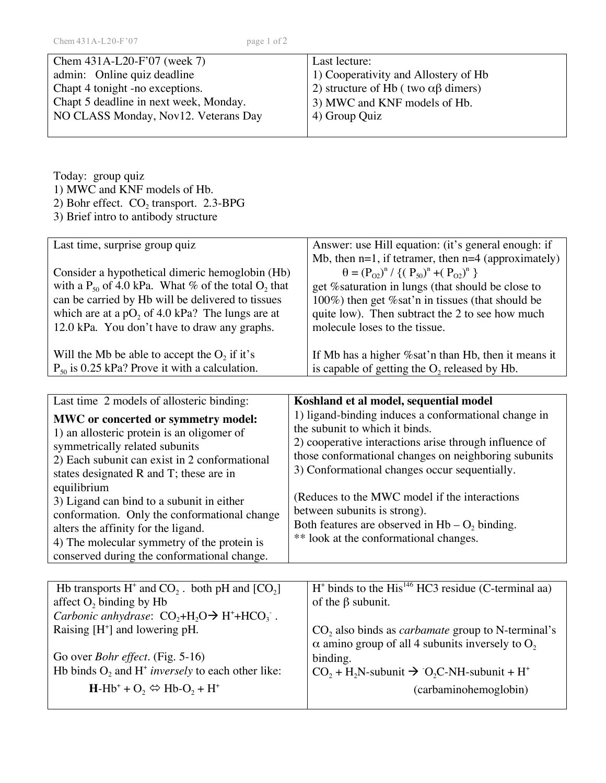| page 1 of 2                                                            |
|------------------------------------------------------------------------|
| Last lecture:                                                          |
| 1) Cooperativity and Allostery of Hb                                   |
| <sup>1</sup> 2) structure of Hb (two αβ dimers)                        |
| Chapt 5 deadline in next week, Monday.<br>3) MWC and KNF models of Hb. |
| NO CLASS Monday, Nov12. Veterans Day<br>4) Group Quiz                  |
|                                                                        |

Today: group quiz 1) MWC and KNF models of Hb. 2) Bohr effect.  $CO_2$  transport. 2.3-BPG

3) Brief intro to antibody structure

| Last time, surprise group quiz                                      | Answer: use Hill equation: (it's general enough: if      |
|---------------------------------------------------------------------|----------------------------------------------------------|
|                                                                     | Mb, then $n=1$ , if tetramer, then $n=4$ (approximately) |
| Consider a hypothetical dimeric hemoglobin (Hb)                     | $\theta = (P_{02})^n / \{(P_{50})^n + (P_{02})^n\}$      |
| with a $P_{50}$ of 4.0 kPa. What % of the total O <sub>2</sub> that | get % saturation in lungs (that should be close to       |
| can be carried by Hb will be delivered to tissues                   | 100%) then get % sat'n in tissues (that should be        |
| which are at a $pO_2$ of 4.0 kPa? The lungs are at                  | quite low). Then subtract the 2 to see how much          |
| 12.0 kPa. You don't have to draw any graphs.                        | molecule loses to the tissue.                            |
|                                                                     |                                                          |
| Will the Mb be able to accept the $O_2$ if it's                     | If Mb has a higher % sat'n than Hb, then it means it     |
| $P_{50}$ is 0.25 kPa? Prove it with a calculation.                  | is capable of getting the $O_2$ released by Hb.          |
|                                                                     |                                                          |

| Last time 2 models of allosteric binding:                                                                                                                                                                                                                                                                                                                                                                                                                        | Koshland et al model, sequential model                                                                                                                                                                                                                                                                                                                                                                                                    |
|------------------------------------------------------------------------------------------------------------------------------------------------------------------------------------------------------------------------------------------------------------------------------------------------------------------------------------------------------------------------------------------------------------------------------------------------------------------|-------------------------------------------------------------------------------------------------------------------------------------------------------------------------------------------------------------------------------------------------------------------------------------------------------------------------------------------------------------------------------------------------------------------------------------------|
| MWC or concerted or symmetry model:<br>1) an allosteric protein is an oligomer of<br>symmetrically related subunits<br>2) Each subunit can exist in 2 conformational<br>states designated R and T; these are in<br>equilibrium<br>3) Ligand can bind to a subunit in either<br>conformation. Only the conformational change<br>alters the affinity for the ligand.<br>4) The molecular symmetry of the protein is<br>conserved during the conformational change. | 1) ligand-binding induces a conformational change in<br>the subunit to which it binds.<br>2) cooperative interactions arise through influence of<br>those conformational changes on neighboring subunits<br>3) Conformational changes occur sequentially.<br>(Reduces to the MWC model if the interactions)<br>between subunits is strong).<br>Both features are observed in $Hb - O2$ binding.<br>** look at the conformational changes. |
|                                                                                                                                                                                                                                                                                                                                                                                                                                                                  |                                                                                                                                                                                                                                                                                                                                                                                                                                           |
| Hb transports $H^+$ and $CO_2$ . both pH and $[CO_2]$                                                                                                                                                                                                                                                                                                                                                                                                            | $H^*$ binds to the His <sup>146</sup> HC3 residue (C-terminal aa)                                                                                                                                                                                                                                                                                                                                                                         |
| affect $O_2$ binding by Hb                                                                                                                                                                                                                                                                                                                                                                                                                                       | of the $\beta$ subunit.                                                                                                                                                                                                                                                                                                                                                                                                                   |
| <i>Carbonic anhydrase:</i> $CO_2 + H_2O \rightarrow H^+ + HCO_3$ .                                                                                                                                                                                                                                                                                                                                                                                               |                                                                                                                                                                                                                                                                                                                                                                                                                                           |
| Raising $[H^+]$ and lowering pH.                                                                                                                                                                                                                                                                                                                                                                                                                                 | $CO2$ also binds as <i>carbamate</i> group to N-terminal's                                                                                                                                                                                                                                                                                                                                                                                |
|                                                                                                                                                                                                                                                                                                                                                                                                                                                                  | $\alpha$ amino group of all 4 subunits inversely to O <sub>2</sub>                                                                                                                                                                                                                                                                                                                                                                        |
| Go over <i>Bohr effect</i> . (Fig. 5-16)                                                                                                                                                                                                                                                                                                                                                                                                                         | binding.                                                                                                                                                                                                                                                                                                                                                                                                                                  |
| Hb binds $O_2$ and H <sup>+</sup> inversely to each other like:                                                                                                                                                                                                                                                                                                                                                                                                  | $CO_2 + H_2N$ -subunit $\rightarrow$ O <sub>2</sub> C-NH-subunit + H <sup>+</sup>                                                                                                                                                                                                                                                                                                                                                         |
| $H-Hb^+ + O_2 \Leftrightarrow Hb-O_2 + H^+$                                                                                                                                                                                                                                                                                                                                                                                                                      | (carbaminohemoglobin)                                                                                                                                                                                                                                                                                                                                                                                                                     |